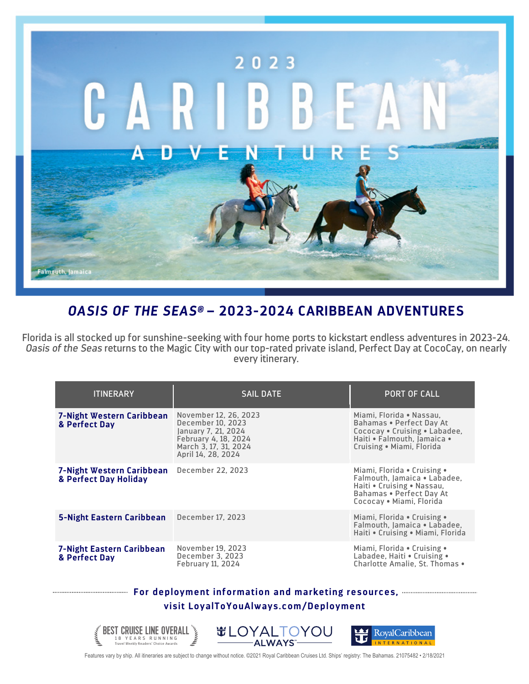

## *OASIS OF THE SEAS®* **– 2023-2024 CARIBBEAN ADVENTURES**

Florida is all stocked up for sunshine-seeking with four home ports to kickstart endless adventures in 2023-24. *Oasis of the Seas* returns to the Magic City with our top-rated private island, Perfect Day at CocoCay, on nearly every itinerary.

| <b>ITINERARY</b>                                   | <b>SAIL DATE</b>                                                                                                                         | <b>PORT OF CALL</b>                                                                                                                               |
|----------------------------------------------------|------------------------------------------------------------------------------------------------------------------------------------------|---------------------------------------------------------------------------------------------------------------------------------------------------|
| 7-Night Western Caribbean<br>& Perfect Day         | November 12, 26, 2023<br>December 10, 2023<br>January 7, 21, 2024<br>February 4, 18, 2024<br>March 3, 17, 31, 2024<br>April 14, 28, 2024 | Miami, Florida • Nassau,<br>Bahamas . Perfect Day At<br>Cococay • Cruising • Labadee,<br>Haiti • Falmouth, Iamaica •<br>Cruising • Miami, Florida |
| 7-Night Western Caribbean<br>& Perfect Day Holiday | December 22, 2023                                                                                                                        | Miami, Florida • Cruising •<br>Falmouth, Jamaica • Labadee,<br>Haiti . Cruising . Nassau,<br>Bahamas . Perfect Day At<br>Cococay • Miami, Florida |
| <b>5-Night Eastern Caribbean</b>                   | December 17, 2023                                                                                                                        | Miami, Florida • Cruising •<br>Falmouth, Jamaica • Labadee,<br>Haiti • Cruising • Miami, Florida                                                  |
| <b>7-Night Eastern Caribbean</b><br>& Perfect Day  | November 19, 2023<br>December 3, 2023<br>February 11, 2024                                                                               | Miami, Florida • Cruising •<br>Labadee, Haiti • Cruising •<br>Charlotte Amalie. St. Thomas .                                                      |

## **For deployment information and marketing resources, visit LoyalToYouAlways.com/Deployment**



Features vary by ship. All itineraries are subject to change without notice. ©2021 Royal Caribbean Cruises Ltd. Ships' registry: The Bahamas. 21075482 • 2/18/2021